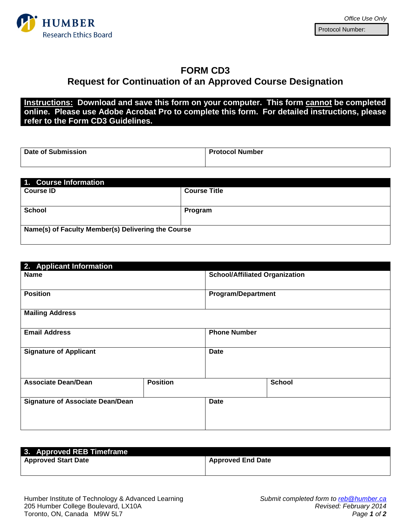

## **FORM CD3 Request for Continuation of an Approved Course Designation**

**Instructions: Download and save this form on your computer. This form cannot be completed online. Please use Adobe Acrobat Pro to complete this form. For detailed instructions, please refer to the Form CD3 Guidelines.**

| Date of Submission | <b>Protocol Number</b> |
|--------------------|------------------------|
|                    |                        |

| 1. Course Information                              |                     |  |
|----------------------------------------------------|---------------------|--|
| <b>Course ID</b>                                   | <b>Course Title</b> |  |
|                                                    |                     |  |
| <b>School</b>                                      | Program             |  |
|                                                    |                     |  |
| Name(s) of Faculty Member(s) Delivering the Course |                     |  |
|                                                    |                     |  |

| 2. Applicant Information                |                 |                                       |               |
|-----------------------------------------|-----------------|---------------------------------------|---------------|
| <b>Name</b>                             |                 | <b>School/Affiliated Organization</b> |               |
| <b>Position</b>                         |                 | <b>Program/Department</b>             |               |
| <b>Mailing Address</b>                  |                 |                                       |               |
| <b>Email Address</b>                    |                 | <b>Phone Number</b>                   |               |
| <b>Signature of Applicant</b>           |                 | <b>Date</b>                           |               |
| <b>Associate Dean/Dean</b>              | <b>Position</b> |                                       | <b>School</b> |
| <b>Signature of Associate Dean/Dean</b> |                 | <b>Date</b>                           |               |

| 3. Approved REB Timeframe  |                          |
|----------------------------|--------------------------|
| <b>Approved Start Date</b> | <b>Approved End Date</b> |
|                            |                          |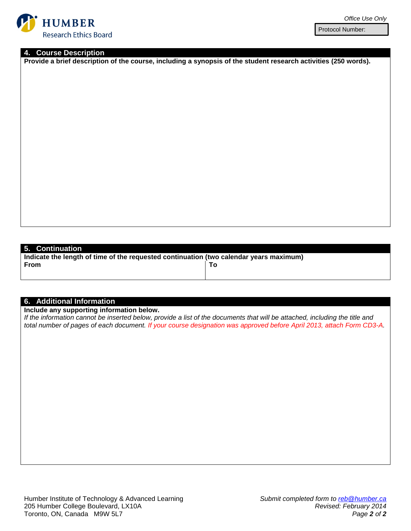

Protocol Number:

### **4. Course Description**

**Provide a brief description of the course, including a synopsis of the student research activities (250 words).**

**5. Continuation**

**Indicate the length of time of the requested continuation (two calendar years maximum) From To**

#### **6. Additional Information**

**Include any supporting information below.** 

*If the information cannot be inserted below, provide a list of the documents that will be attached, including the title and total number of pages of each document. If your course designation was approved before April 2013, attach Form CD3-A.*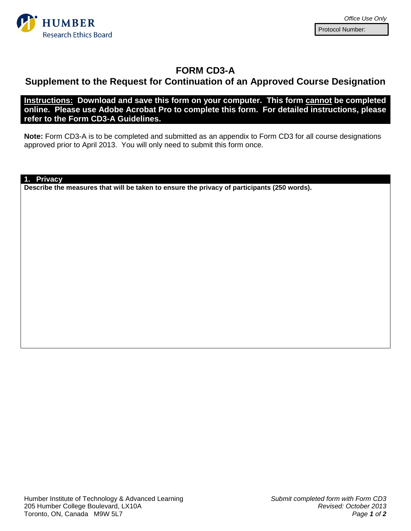

## **FORM CD3-A**

# **Supplement to the Request for Continuation of an Approved Course Designation**

**Instructions: Download and save this form on your computer. This form cannot be completed online. Please use Adobe Acrobat Pro to complete this form. For detailed instructions, please refer to the Form CD3-A Guidelines.**

**Note:** Form CD3-A is to be completed and submitted as an appendix to Form CD3 for all course designations approved prior to April 2013. You will only need to submit this form once.

**1. Privacy**

**Describe the measures that will be taken to ensure the privacy of participants (250 words).**